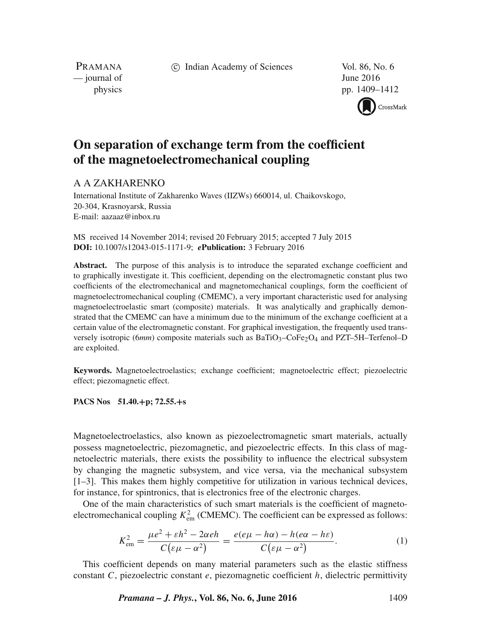c Indian Academy of Sciences Vol. 86, No. 6

PRAMANA  $\frac{1}{2016}$  June 2016

physics pp. 1409–1412

CrossMark

## **On separation of exchange term from the coefficient of the magnetoelectromechanical coupling**

## A A ZAKHARENKO

International Institute of Zakharenko Waves (IIZWs) 660014, ul. Chaikovskogo, 20-304, Krasnoyarsk, Russia E-mail: aazaaz@inbox.ru

MS received 14 November 2014; revised 20 February 2015; accepted 7 July 2015 **DOI:** 10.1007/s12043-015-1171-9; *e***Publication:** 3 February 2016

Abstract. The purpose of this analysis is to introduce the separated exchange coefficient and to graphically investigate it. This coefficient, depending on the electromagnetic constant plus two coefficients of the electromechanical and magnetomechanical couplings, form the coefficient of magnetoelectromechanical coupling (CMEMC), a very important characteristic used for analysing magnetoelectroelastic smart (composite) materials. It was analytically and graphically demonstrated that the CMEMC can have a minimum due to the minimum of the exchange coefficient at a certain value of the electromagnetic constant. For graphical investigation, the frequently used transversely isotropic (6*mm*) composite materials such as BaTiO<sub>3</sub>–CoFe<sub>2</sub>O<sub>4</sub> and PZT–5H–Terfenol–D are exploited.

**Keywords.** Magnetoelectroelastics; exchange coefficient; magnetoelectric effect; piezoelectric effect; piezomagnetic effect.

**PACS Nos 51.40.+p; 72.55.+s**

Magnetoelectroelastics, also known as piezoelectromagnetic smart materials, actually possess magnetoelectric, piezomagnetic, and piezoelectric effects. In this class of magnetoelectric materials, there exists the possibility to influence the electrical subsystem by changing the magnetic subsystem, and vice versa, via the mechanical subsystem [1–3]. This makes them highly competitive for utilization in various technical devices, for instance, for spintronics, that is electronics free of the electronic charges.

One of the main characteristics of such smart materials is the coefficient of magnetoelectromechanical coupling  $K_{\text{em}}^2$  (CMEMC). The coefficient can be expressed as follows:

$$
K_{\text{em}}^2 = \frac{\mu e^2 + \varepsilon h^2 - 2\alpha e h}{C(\varepsilon \mu - \alpha^2)} = \frac{e(e\mu - h\alpha) - h(e\alpha - h\varepsilon)}{C(\varepsilon \mu - \alpha^2)}.
$$
 (1)

This coefficient depends on many material parameters such as the elastic stiffness constant C, piezoelectric constant  $e$ , piezomagnetic coefficient  $h$ , dielectric permittivity

*Pramana – J. Phys.***, Vol. 86, No. 6, June 2016** 1409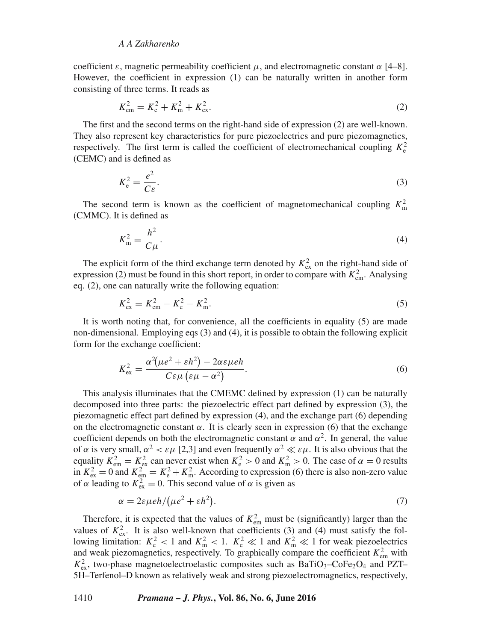## *A A Zakharenko*

coefficient  $\varepsilon$ , magnetic permeability coefficient  $\mu$ , and electromagnetic constant  $\alpha$  [4–8]. However, the coefficient in expression (1) can be naturally written in another form consisting of three terms. It reads as

$$
K_{\rm em}^2 = K_{\rm e}^2 + K_{\rm m}^2 + K_{\rm ex}^2. \tag{2}
$$

The first and the second terms on the right-hand side of expression (2) are well-known. They also represent key characteristics for pure piezoelectrics and pure piezomagnetics, respectively. The first term is called the coefficient of electromechanical coupling  $K_e^2$ (CEMC) and is defined as

$$
K_e^2 = \frac{e^2}{C\varepsilon}.\tag{3}
$$

The second term is known as the coefficient of magnetomechanical coupling  $K_{\text{m}}^2$ (CMMC). It is defined as

$$
K_{\rm m}^2 = \frac{h^2}{C\mu}.\tag{4}
$$

The explicit form of the third exchange term denoted by  $K_{\text{ex}}^2$  on the right-hand side of expression (2) must be found in this short report, in order to compare with  $K_{em}^2$ . Analysing eq. (2), one can naturally write the following equation:

$$
K_{\text{ex}}^2 = K_{\text{em}}^2 - K_{\text{e}}^2 - K_{\text{m}}^2. \tag{5}
$$

It is worth noting that, for convenience, all the coefficients in equality (5) are made non-dimensional. Employing eqs (3) and (4), it is possible to obtain the following explicit form for the exchange coefficient:

$$
K_{\text{ex}}^2 = \frac{\alpha^2(\mu e^2 + \varepsilon h^2) - 2\alpha \varepsilon \mu e h}{C \varepsilon \mu \left(\varepsilon \mu - \alpha^2\right)}.
$$
\n
$$
(6)
$$

This analysis illuminates that the CMEMC defined by expression (1) can be naturally decomposed into three parts: the piezoelectric effect part defined by expression (3), the piezomagnetic effect part defined by expression (4), and the exchange part (6) depending on the electromagnetic constant  $\alpha$ . It is clearly seen in expression (6) that the exchange coefficient depends on both the electromagnetic constant  $\alpha$  and  $\alpha^2$ . In general, the value of  $\alpha$  is very small,  $\alpha^2 < \varepsilon \mu$  [2,3] and even frequently  $\alpha^2 \ll \varepsilon \mu$ . It is also obvious that the equality  $K_{\text{em}}^2 = K_{\text{ex}}^2$  can never exist when  $K_{\text{e}}^2 > 0$  and  $K_{\text{m}}^2 > 0$ . The case of  $\alpha = 0$  results in  $K_{\text{ex}}^2 = 0$  and  $K_{\text{em}}^2 = K_{\text{e}}^2 + K_{\text{m}}^2$ . According to expression (6) there is also non-zero value of  $\alpha$  leading to  $K_{\text{ex}}^2 = 0$ . This second value of  $\alpha$  is given as

$$
\alpha = 2\varepsilon \mu e h / (\mu e^2 + \varepsilon h^2). \tag{7}
$$

Therefore, it is expected that the values of  $K_{em}^2$  must be (significantly) larger than the values of  $K_{\text{ex}}^2$ . It is also well-known that coefficients (3) and (4) must satisfy the following limitation:  $K_e^2 < 1$  and  $K_m^2 < 1$ .  $K_e^2 \ll 1$  and  $K_m^2 \ll 1$  for weak piezoelectrics and weak piezomagnetics, respectively. To graphically compare the coefficient  $K_{em}^2$  with  $K_{\text{ex}}^2$ , two-phase magnetoelectroelastic composites such as BaTiO<sub>3</sub>–CoFe<sub>2</sub>O<sub>4</sub> and PZT– 5H–Terfenol–D known as relatively weak and strong piezoelectromagnetics, respectively,

1410 *Pramana – J. Phys.***, Vol. 86, No. 6, June 2016**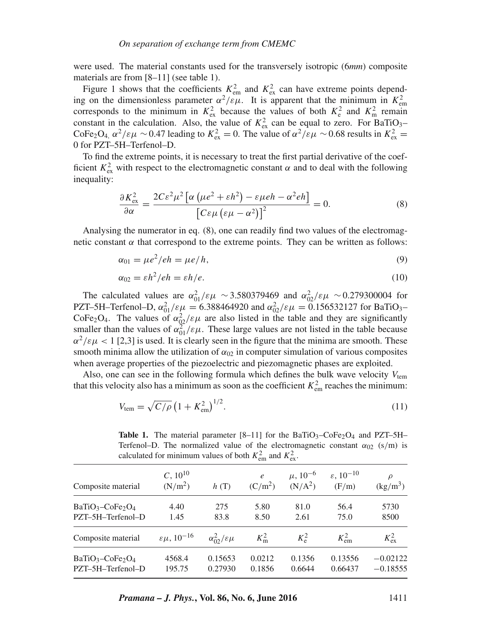were used. The material constants used for the transversely isotropic (6*mm*) composite materials are from [8–11] (see table 1).

Figure 1 shows that the coefficients  $K_{\text{em}}^2$  and  $K_{\text{ex}}^2$  can have extreme points depending on the dimensionless parameter  $\alpha^2/\epsilon\mu$ . It is apparent that the minimum in  $K_{\text{em}}^2$ region the dimensionless parameter  $\alpha' / e \mu$ . It is apparent that the infinitum in  $K_{em}$  corresponds to the minimum in  $K_{ex}^2$  because the values of both  $K_e^2$  and  $K_m^2$  remain constant in the calculation. Also, the value of  $K_{\text{ex}}^2$  can be equal to zero. For BaTiO<sub>3</sub>-CoFe<sub>2</sub>O<sub>4,</sub>  $\alpha^2/\epsilon \mu \sim 0.47$  leading to  $K_{\text{ex}}^2 = 0$ . The value of  $\alpha^2/\epsilon \mu \sim 0.68$  results in  $K_{\text{ex}}^2 =$ 0 for PZT–5H–Terfenol–D.

To find the extreme points, it is necessary to treat the first partial derivative of the coefficient  $K_{\text{ex}}^2$  with respect to the electromagnetic constant  $\alpha$  and to deal with the following inequality:

$$
\frac{\partial K_{\text{ex}}^2}{\partial \alpha} = \frac{2C\varepsilon^2 \mu^2 \left[ \alpha \left( \mu e^2 + \varepsilon h^2 \right) - \varepsilon \mu e h - \alpha^2 e h \right]}{\left[ C\varepsilon \mu \left( \varepsilon \mu - \alpha^2 \right) \right]^2} = 0. \tag{8}
$$

Analysing the numerator in eq. (8), one can readily find two values of the electromagnetic constant  $\alpha$  that correspond to the extreme points. They can be written as follows:

$$
\alpha_{01} = \mu e^2 / eh = \mu e / h,\tag{9}
$$

$$
\alpha_{02} = \varepsilon h^2 / e h = \varepsilon h / e. \tag{10}
$$

The calculated values are  $\alpha_{01}^2/\epsilon\mu \sim 3.580379469$  and  $\alpha_{02}^2/\epsilon\mu \sim 0.279300004$  for PZT–5H–Terfenol–D,  $\alpha_{01}^2/\varepsilon\mu = 6.388464920$  and  $\alpha_{02}^2/\varepsilon\mu = 0.156532127$  for BaTiO<sub>3</sub>– CoFe<sub>2</sub>O<sub>4</sub>. The values of  $\alpha_{02}^2/\epsilon\mu$  are also listed in the table and they are significantly smaller than the values of  $\alpha_{01}^2/\varepsilon\mu$ . These large values are not listed in the table because  $\alpha^2/\epsilon \mu$  < 1 [2,3] is used. It is clearly seen in the figure that the minima are smooth. These smooth minima allow the utilization of  $\alpha_{02}$  in computer simulation of various composites when average properties of the piezoelectric and piezomagnetic phases are exploited.

Also, one can see in the following formula which defines the bulk wave velocity  $V_{\text{tem}}$ that this velocity also has a minimum as soon as the coefficient  $K_{em}^2$  reaches the minimum:

$$
V_{\text{tem}} = \sqrt{C/\rho} \left( 1 + K_{\text{em}}^2 \right)^{1/2}.
$$
 (11)

| calculated for minimum values of both $K_{\text{em}}$ and $K_{\text{ex}}$ . |                                       |                             |                               |                                                 |                                            |                                |
|-----------------------------------------------------------------------------|---------------------------------------|-----------------------------|-------------------------------|-------------------------------------------------|--------------------------------------------|--------------------------------|
| Composite material                                                          | $C, 10^{10}$<br>(N/m <sup>2</sup> )   | h(T)                        | $\ell$<br>(C/m <sup>2</sup> ) | $\mu$ , 10 <sup>-6</sup><br>(N/A <sup>2</sup> ) | $\varepsilon$ , 10 <sup>-10</sup><br>(F/m) | $\frac{\text{kg}}{\text{m}^3}$ |
| $BaTiO3-CoFe2O4$<br>PZT-5H-Terfenol-D                                       | 4.40<br>1.45                          | 275<br>83.8                 | 5.80<br>8.50                  | 81.0<br>2.61                                    | 56.4<br>75.0                               | 5730<br>8500                   |
| Composite material                                                          | $\varepsilon \mu$ , 10 <sup>-16</sup> | $\alpha_0^2/\varepsilon\mu$ | $K_{\rm m}^2$                 | $K^2_{\rho}$                                    | $K_{\text{em}}^2$                          | $K_{\text{ex}}^2$              |
| $BaTiO3-CoFe2O4$<br>PZT-5H-Terfenol-D                                       | 4568.4<br>195.75                      | 0.15653<br>0.27930          | 0.0212<br>0.1856              | 0.1356<br>0.6644                                | 0.13556<br>0.66437                         | $-0.02122$<br>$-0.18555$       |

**Table 1.** The material parameter  $[8-11]$  for the BaTiO<sub>3</sub>–CoFe<sub>2</sub>O<sub>4</sub> and PZT–5H– Terfenol–D. The normalized value of the electromagnetic constant  $\alpha_{02}$  (s/m) is calculated for minimum values of both  $K_{\text{em}}^2$  and  $K_{\text{ex}}^2$ .